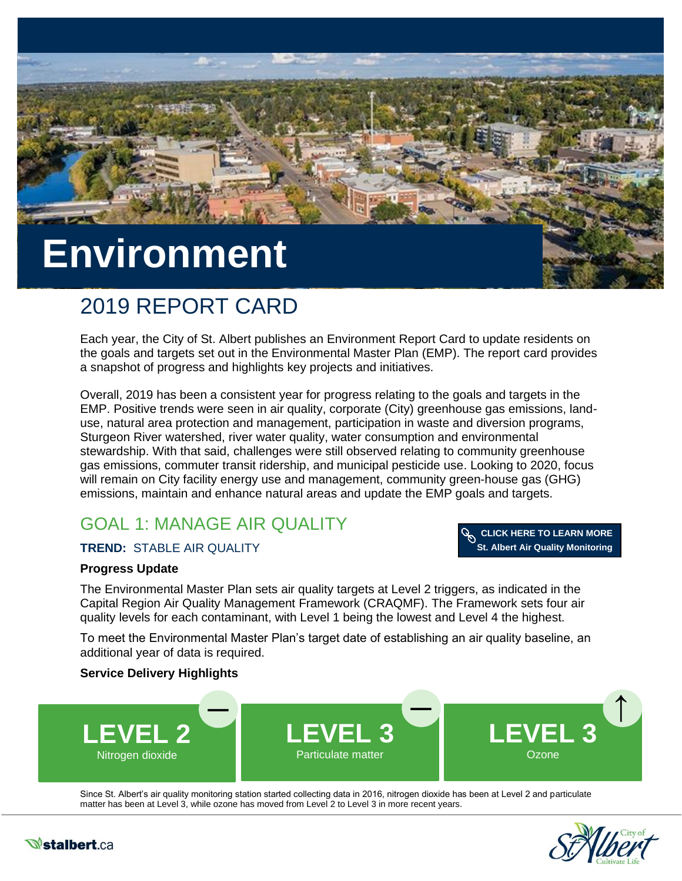

# 2019 REPORT CARD

Each year, the City of St. Albert publishes an Environment Report Card to update residents on the goals and targets set out in the Environmental Master Plan (EMP). The report card provides a snapshot of progress and highlights key projects and initiatives.

Overall, 2019 has been a consistent year for progress relating to the goals and targets in the EMP. Positive trends were seen in air quality, corporate (City) greenhouse gas emissions, landuse, natural area protection and management, participation in waste and diversion programs, Sturgeon River watershed, river water quality, water consumption and environmental stewardship. With that said, challenges were still observed relating to community greenhouse gas emissions, commuter transit ridership, and municipal pesticide use. Looking to 2020, focus will remain on City facility energy use and management, community green-house gas (GHG) emissions, maintain and enhance natural areas and update the EMP goals and targets.

## GOAL 1: MANAGE AIR QUALITY

#### **TREND:** STABLE AIR QUALITY



#### **Progress Update**

The Environmental Master Plan sets air quality targets at Level 2 triggers, as indicated in the Capital Region Air Quality Management Framework (CRAQMF). The Framework sets four air quality levels for each contaminant, with Level 1 being the lowest and Level 4 the highest.

To meet the Environmental Master Plan's target date of establishing an air quality baseline, an additional year of data is required.

#### **Service Delivery Highlights**



Since St. Albert's air quality monitoring station started collecting data in 2016, nitrogen dioxide has been at Level 2 and particulate matter has been at Level 3, while ozone has moved from Level 2 to Level 3 in more recent years.



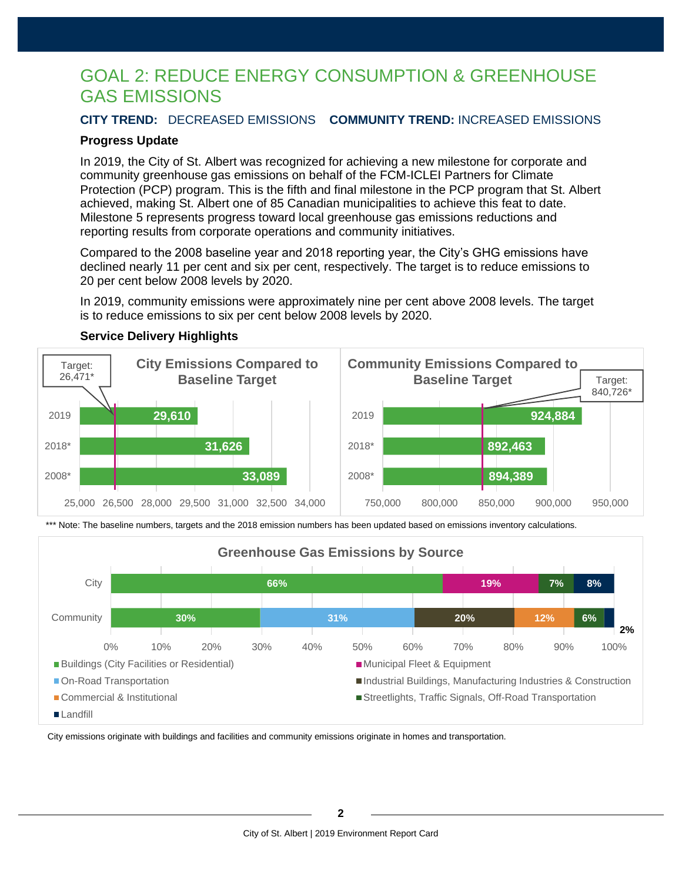### GOAL 2: REDUCE ENERGY CONSUMPTION & GREENHOUSE GAS EMISSIONS

#### **CITY TREND:** DECREASED EMISSIONS **COMMUNITY TREND:** INCREASED EMISSIONS

#### **Progress Update**

In 2019, the City of St. Albert was recognized for achieving a new milestone for corporate and community greenhouse gas emissions on behalf of the FCM-ICLEI Partners for Climate Protection (PCP) program. This is the fifth and final milestone in the PCP program that St. Albert achieved, making St. Albert one of 85 Canadian municipalities to achieve this feat to date. Milestone 5 represents progress toward local greenhouse gas emissions reductions and reporting results from corporate operations and community initiatives.

Compared to the 2008 baseline year and 2018 reporting year, the City's GHG emissions have declined nearly 11 per cent and six per cent, respectively. The target is to reduce emissions to 20 per cent below 2008 levels by 2020.

In 2019, community emissions were approximately nine per cent above 2008 levels. The target is to reduce emissions to six per cent below 2008 levels by 2020.



#### **Service Delivery Highlights**

\*\*\* Note: The baseline numbers, targets and the 2018 emission numbers has been updated based on emissions inventory calculations.



City emissions originate with buildings and facilities and community emissions originate in homes and transportation.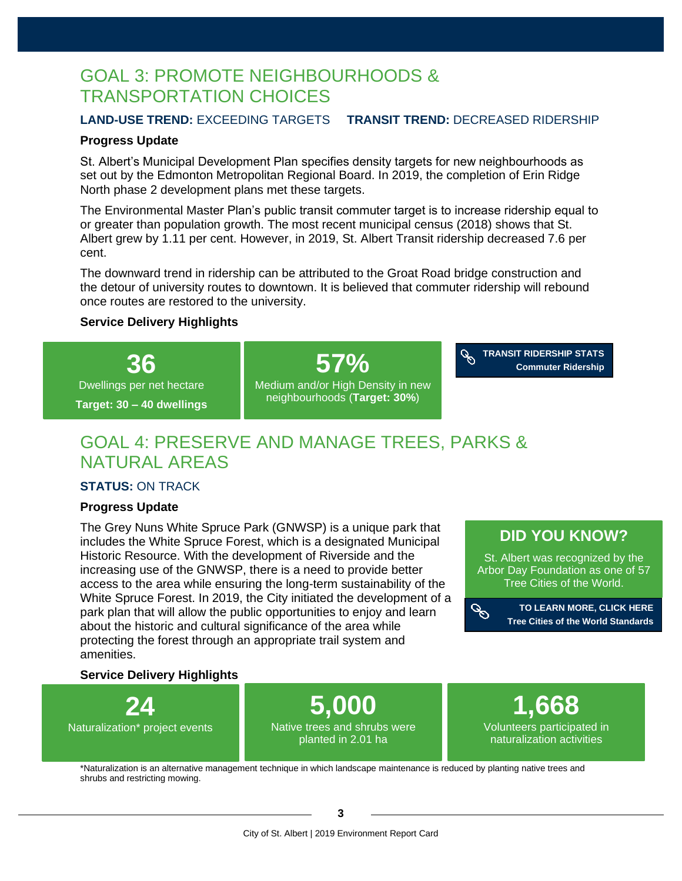### GOAL 3: PROMOTE NEIGHBOURHOODS & TRANSPORTATION CHOICES

#### **LAND-USE TREND:** EXCEEDING TARGETS **TRANSIT TREND:** DECREASED RIDERSHIP

#### **Progress Update**

St. Albert's Municipal Development Plan specifies density targets for new neighbourhoods as set out by the Edmonton Metropolitan Regional Board. In 2019, the completion of Erin Ridge North phase 2 development plans met these targets.

The Environmental Master Plan's public transit commuter target is to increase ridership equal to or greater than population growth. The most recent municipal census (2018) shows that St. Albert grew by 1.11 per cent. However, in 2019, St. Albert Transit ridership decreased 7.6 per cent.

The downward trend in ridership can be attributed to the Groat Road bridge construction and the detour of university routes to downtown. It is believed that commuter ridership will rebound once routes are restored to the university.

#### **Service Delivery Highlights**



### GOAL 4: PRESERVE AND MANAGE TREES, PARKS & NATURAL AREAS

#### **STATUS:** ON TRACK

#### **Progress Update**

The Grey Nuns White Spruce Park (GNWSP) is a unique park that includes the White Spruce Forest, which is a designated Municipal Historic Resource. With the development of Riverside and the increasing use of the GNWSP, there is a need to provide better access to the area while ensuring the long-term sustainability of the White Spruce Forest. In 2019, the City initiated the development of a park plan that will allow the public opportunities to enjoy and learn about the historic and cultural significance of the area while protecting the forest through an appropriate trail system and amenities.

### **[DID YOU KNOW?](https://treecitiesoftheworld.org/standards.cfm)**

St. Albert was recognized by the Arbor Day Foundation as one of 57 Tree Cities of the World.



**[TO LEARN MORE, CLICK HERE](https://treecitiesoftheworld.org/standards.cfm) Tree Cities of the World Standards**

#### **Service Delivery Highlights**



\*Naturalization is an alternative management technique in which landscape maintenance is reduced by planting native trees and shrubs and restricting mowing.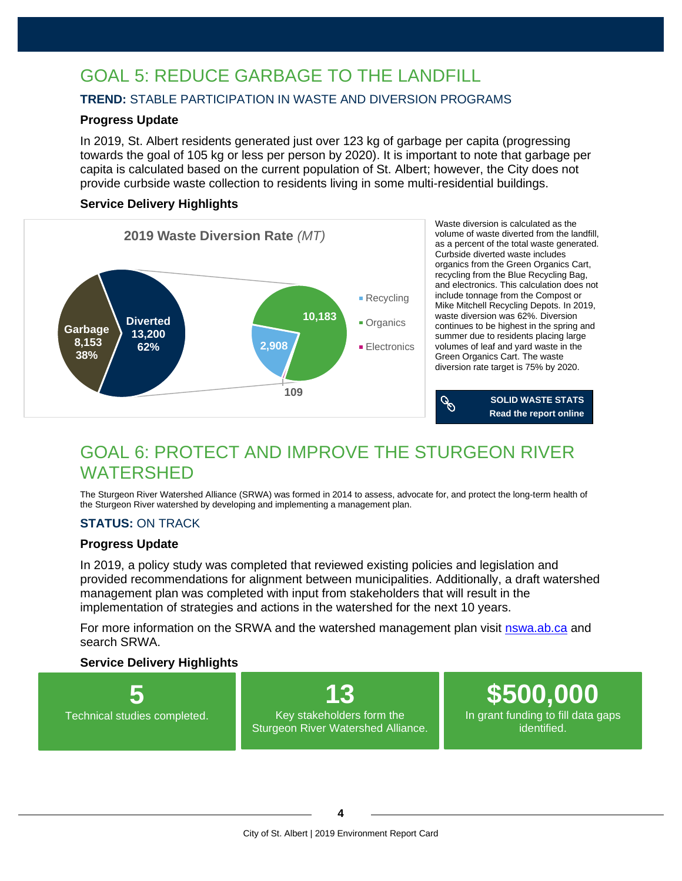### GOAL 5: REDUCE GARBAGE TO THE LANDFILL

#### **TREND:** STABLE PARTICIPATION IN WASTE AND DIVERSION PROGRAMS

#### **Progress Update**

In 2019, St. Albert residents generated just over 123 kg of garbage per capita (progressing towards the goal of 105 kg or less per person by 2020). It is important to note that garbage per capita is calculated based on the current population of St. Albert; however, the City does not provide curbside waste collection to residents living in some multi-residential buildings.

#### **Service Delivery Highlights**



Waste diversion is calculated as the volume of waste diverted from the landfill, as a percent of the total waste generated. Curbside diverted waste includes organics from the Green Organics Cart, recycling from the Blue Recycling Bag, and electronics. This calculation does not include tonnage from the Compost or Mike Mitchell Recycling Depots. In 2019, waste diversion was 62%. Diversion continues to be highest in the spring and summer due to residents placing large volumes of leaf and yard waste in the Green Organics Cart. The waste diversion rate target is 75% by 2020.



### GOAL 6: PROTECT AND IMPROVE THE STURGEON RIVER WATERSHED

The Sturgeon River Watershed Alliance (SRWA) was formed in 2014 to assess, advocate for, and protect the long-term health of the Sturgeon River watershed by developing and implementing a management plan.

#### **STATUS:** ON TRACK

#### **Progress Update**

In 2019, a policy study was completed that reviewed existing policies and legislation and provided recommendations for alignment between municipalities. Additionally, a draft watershed management plan was completed with input from stakeholders that will result in the implementation of strategies and actions in the watershed for the next 10 years.

For more information on the SRWA and the watershed management plan visit [nswa.ab.ca](https://www.nswa.ab.ca/the-sturgeon-river-watershed-alliance/) and search SRWA.

#### **Service Delivery Highlights**

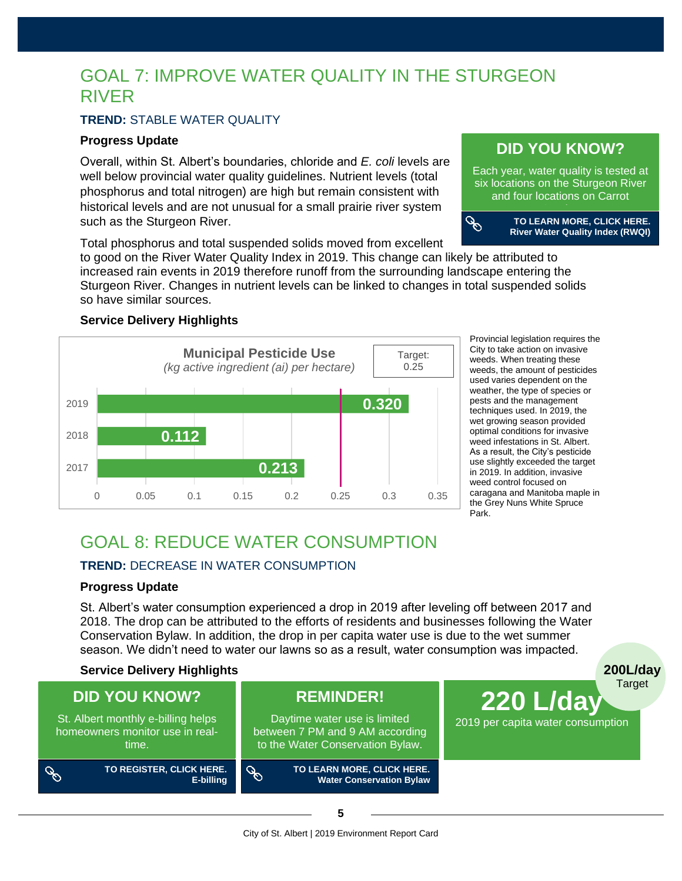### GOAL 7: IMPROVE WATER QUALITY IN THE STURGEON RIVER

#### **TREND:** STABLE WATER QUALITY

#### **Progress Update**

Overall, within St. Albert's boundaries, chloride and *E. coli* levels are well below provincial water quality guidelines. Nutrient levels (total phosphorus and total nitrogen) are high but remain consistent with historical levels and are not unusual for a small prairie river system such as the Sturgeon River.

Total phosphorus and total suspended solids moved from excellent to good on the River Water Quality Index in 2019. This change can likely be attributed to

increased rain events in 2019 therefore runoff from the surrounding landscape entering the Sturgeon River. Changes in nutrient levels can be linked to changes in total suspended solids so have similar sources.

#### **Service Delivery Highlights**



Provincial legislation requires the City to take action on invasive weeds. When treating these weeds, the amount of pesticides used varies dependent on the weather, the type of species or pests and the management techniques used. In 2019, the wet growing season provided optimal conditions for invasive weed infestations in St. Albert. As a result, the City's pesticide use slightly exceeded the target in 2019. In addition, invasive weed control focused on caragana and Manitoba maple in the Grey Nuns White Spruce Park.

**200L/day**

### GOAL 8: REDUCE WATER CONSUMPTION

#### **TREND:** DECREASE IN WATER CONSUMPTION

#### **Progress Update**

St. Albert's water consumption experienced a drop in 2019 after leveling off between 2017 and 2018. The drop can be attributed to the efforts of residents and businesses following the Water Conservation Bylaw. In addition, the drop in per capita water use is due to the wet summer season. We didn't need to water our lawns so as a result, water consumption was impacted.

#### **Service Delivery Highlights**



### **[DID YOU KNOW?](https://stalbert.ca/city/environment/sturgeon-river/get-to-know/)**

Each year, water quality is tested at six locations on the Sturgeon River and four locations on Carrot

Creek.c

 $\mathcal{P}$ 

**TO LEARN MORE, CLICK HERE. River Water Quality Index (RWQI)**